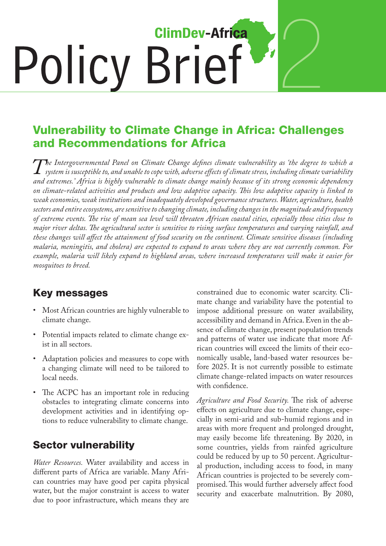# 2 **ClimDev-Africa Policy Brief**

### Vulnerability to Climate Change in Africa: Challenges and Recommendations for Africa

The Intergovernmental Panel on Climate Change defines climate vulnerability as 'the degree to which a<br>system is susceptible to, and unable to cope with, adverse effects of climate stress, including climate variability<br>and *system is susceptible to, and unable to cope with, adverse effects of climate stress, including climate variability and extremes.' Africa is highly vulnerable to climate change mainly because of its strong economic dependency on climate-related activities and products and low adaptive capacity. This low adaptive capacity is linked to weak economies, weak institutions and inadequately developed governance structures. Water, agriculture, health sectors and entire ecosystems, are sensitive to changing climate, including changes in the magnitude and frequency of extreme events. The rise of mean sea level will threaten African coastal cities, especially those cities close to major river deltas. The agricultural sector is sensitive to rising surface temperatures and varying rainfall, and these changes will affect the attainment of food security on the continent. Climate sensitive diseases (including malaria, meningitis, and cholera) are expected to expand to areas where they are not currently common. For example, malaria will likely expand to highland areas, where increased temperatures will make it easier for mosquitoes to breed.*

#### Key messages

- Most African countries are highly vulnerable to climate change.
- • Potential impacts related to climate change exist in all sectors.
- • Adaptation policies and measures to cope with a changing climate will need to be tailored to local needs.
- The ACPC has an important role in reducing obstacles to integrating climate concerns into development activities and in identifying options to reduce vulnerability to climate change.

#### Sector vulnerability

*Water Resources.* Water availability and access in different parts of Africa are variable. Many African countries may have good per capita physical water, but the major constraint is access to water due to poor infrastructure, which means they are

constrained due to economic water scarcity. Climate change and variability have the potential to impose additional pressure on water availability, accessibility and demand in Africa. Even in the absence of climate change, present population trends and patterns of water use indicate that more African countries will exceed the limits of their economically usable, land-based water resources before 2025. It is not currently possible to estimate climate change-related impacts on water resources with confidence.

*Agriculture and Food Security.* The risk of adverse effects on agriculture due to climate change, especially in semi-arid and sub-humid regions and in areas with more frequent and prolonged drought, may easily become life threatening. By 2020, in some countries, yields from rainfed agriculture could be reduced by up to 50 percent. Agricultural production, including access to food, in many African countries is projected to be severely compromised. This would further adversely affect food security and exacerbate malnutrition. By 2080,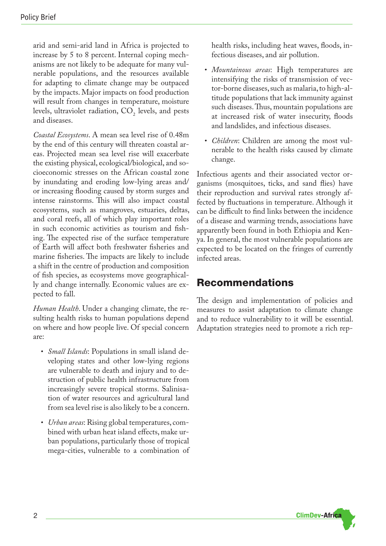arid and semi-arid land in Africa is projected to increase by 5 to 8 percent. Internal coping mechanisms are not likely to be adequate for many vulnerable populations, and the resources available for adapting to climate change may be outpaced by the impacts. Major impacts on food production will result from changes in temperature, moisture levels, ultraviolet radiation,  $CO_2$  levels, and pests and diseases.

*Coastal Ecosystems*. A mean sea level rise of 0.48m by the end of this century will threaten coastal areas. Projected mean sea level rise will exacerbate the existing physical, ecological/biological, and socioeconomic stresses on the African coastal zone by inundating and eroding low-lying areas and/ or increasing flooding caused by storm surges and intense rainstorms. This will also impact coastal ecosystems, such as mangroves, estuaries, deltas, and coral reefs, all of which play important roles in such economic activities as tourism and fishing. The expected rise of the surface temperature of Earth will affect both freshwater fisheries and marine fisheries. The impacts are likely to include a shift in the centre of production and composition of fish species, as ecosystems move geographically and change internally. Economic values are expected to fall.

*Human Health*. Under a changing climate, the resulting health risks to human populations depend on where and how people live. Of special concern are:

- *• Small Islands*: Populations in small island developing states and other low-lying regions are vulnerable to death and injury and to destruction of public health infrastructure from increasingly severe tropical storms. Salinisation of water resources and agricultural land from sea level rise is also likely to be a concern.
- *• Urban areas*: Rising global temperatures, combined with urban heat island effects, make urban populations, particularly those of tropical mega-cities, vulnerable to a combination of

health risks, including heat waves, floods, infectious diseases, and air pollution.

- *• Mountainous areas*: High temperatures are intensifying the risks of transmission of vector-borne diseases, such as malaria, to high-altitude populations that lack immunity against such diseases. Thus, mountain populations are at increased risk of water insecurity, floods and landslides, and infectious diseases.
- *• Children*: Children are among the most vulnerable to the health risks caused by climate change.

Infectious agents and their associated vector organisms (mosquitoes, ticks, and sand flies) have their reproduction and survival rates strongly affected by fluctuations in temperature. Although it can be difficult to find links between the incidence of a disease and warming trends, associations have apparently been found in both Ethiopia and Kenya. In general, the most vulnerable populations are expected to be located on the fringes of currently infected areas.

#### Recommendations

The design and implementation of policies and measures to assist adaptation to climate change and to reduce vulnerability to it will be essential. Adaptation strategies need to promote a rich rep